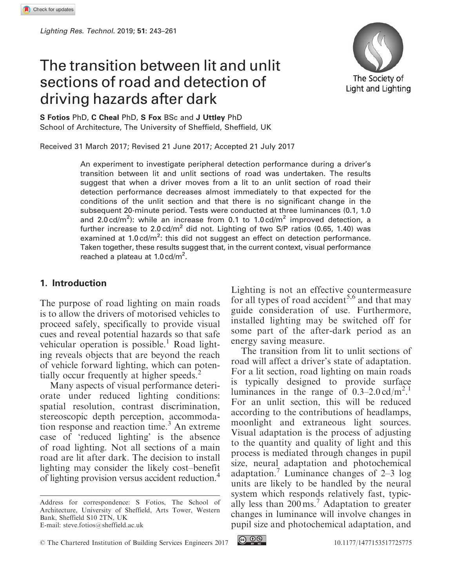# The transition between lit and unlit sections of road and detection of driving hazards after dark



S Fotios PhD, C Cheal PhD, S Fox BSc and J Uttley PhD School of Architecture, The University of Sheffield, Sheffield, UK

Received 31 March 2017; Revised 21 June 2017; Accepted 21 July 2017

An experiment to investigate peripheral detection performance during a driver's transition between lit and unlit sections of road was undertaken. The results suggest that when a driver moves from a lit to an unlit section of road their detection performance decreases almost immediately to that expected for the conditions of the unlit section and that there is no significant change in the subsequent 20-minute period. Tests were conducted at three luminances (0.1, 1.0 and 2.0 cd/m<sup>2</sup>): while an increase from 0.1 to 1.0 cd/m<sup>2</sup> improved detection, a further increase to  $2.0 \text{ cd/m}^2$  did not. Lighting of two S/P ratios (0.65, 1.40) was examined at 1.0 cd/m<sup>2</sup>: this did not suggest an effect on detection performance. Taken together, these results suggest that, in the current context, visual performance reached a plateau at 1.0 cd/m<sup>2</sup>.

#### 1. Introduction

The purpose of road lighting on main roads is to allow the drivers of motorised vehicles to proceed safely, specifically to provide visual cues and reveal potential hazards so that safe vehicular operation is possible.<sup>1</sup> Road lighting reveals objects that are beyond the reach of vehicle forward lighting, which can potentially occur frequently at higher speeds.<sup>2</sup>

Many aspects of visual performance deteriorate under reduced lighting conditions: spatial resolution, contrast discrimination, stereoscopic depth perception, accommodation response and reaction time.<sup>3</sup> An extreme case of 'reduced lighting' is the absence of road lighting. Not all sections of a main road are lit after dark. The decision to install lighting may consider the likely cost–benefit of lighting provision versus accident reduction.4

C The Chartered Institution of Building Services Engineers 2017 [10.1177/1477153517725775](https://doi.org/10.1177/1477153517725775)

Lighting is not an effective countermeasure for all types of road accident<sup>5,6</sup> and that may guide consideration of use. Furthermore, installed lighting may be switched off for some part of the after-dark period as an energy saving measure.

The transition from lit to unlit sections of road will affect a driver's state of adaptation. For a lit section, road lighting on main roads is typically designed to provide surface luminances in the range of  $0.3-2.0 \text{ cd/m}^2$ . For an unlit section, this will be reduced according to the contributions of headlamps, moonlight and extraneous light sources. Visual adaptation is the process of adjusting to the quantity and quality of light and this process is mediated through changes in pupil size, neural adaptation and photochemical adaptation.<sup>7</sup> Luminance changes of  $2-3$  log units are likely to be handled by the neural system which responds relatively fast, typically less than 200 ms.<sup>7</sup> Adaptation to greater changes in luminance will involve changes in pupil size and photochemical adaptation, and



Address for correspondence: S Fotios, The School of Architecture, University of Sheffield, Arts Tower, Western Bank, Sheffield S10 2TN, UK E-mail: steve.fotios@sheffield.ac.uk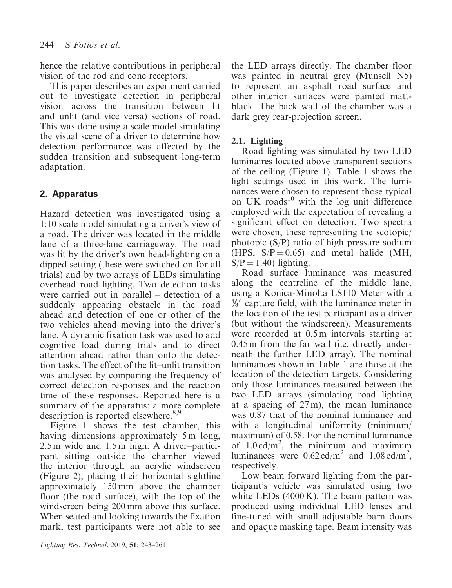hence the relative contributions in peripheral vision of the rod and cone receptors.

This paper describes an experiment carried out to investigate detection in peripheral vision across the transition between lit and unlit (and vice versa) sections of road. This was done using a scale model simulating the visual scene of a driver to determine how detection performance was affected by the sudden transition and subsequent long-term adaptation.

# 2. Apparatus

Hazard detection was investigated using a 1:10 scale model simulating a driver's view of a road. The driver was located in the middle lane of a three-lane carriageway. The road was lit by the driver's own head-lighting on a dipped setting (these were switched on for all trials) and by two arrays of LEDs simulating overhead road lighting. Two detection tasks were carried out in parallel – detection of a suddenly appearing obstacle in the road ahead and detection of one or other of the two vehicles ahead moving into the driver's lane. A dynamic fixation task was used to add cognitive load during trials and to direct attention ahead rather than onto the detection tasks. The effect of the lit–unlit transition was analysed by comparing the frequency of correct detection responses and the reaction time of these responses. Reported here is a summary of the apparatus: a more complete description is reported elsewhere.<sup>8,9</sup>

Figure 1 shows the test chamber, this having dimensions approximately 5 m long, 2.5 m wide and 1.5 m high. A driver–participant sitting outside the chamber viewed the interior through an acrylic windscreen (Figure 2), placing their horizontal sightline approximately 150 mm above the chamber floor (the road surface), with the top of the windscreen being 200 mm above this surface. When seated and looking towards the fixation mark, test participants were not able to see the LED arrays directly. The chamber floor was painted in neutral grey (Munsell N5) to represent an asphalt road surface and other interior surfaces were painted mattblack. The back wall of the chamber was a dark grey rear-projection screen.

# 2.1. Lighting

Road lighting was simulated by two LED luminaires located above transparent sections of the ceiling (Figure 1). Table 1 shows the light settings used in this work. The luminances were chosen to represent those typical on UK roads<sup>10</sup> with the log unit difference employed with the expectation of revealing a significant effect on detection. Two spectra were chosen, these representing the scotopic/ photopic  $(S/P)$  ratio of high pressure sodium (HPS,  $S/P = 0.65$ ) and metal halide (MH,  $S/P = 1.40$ ) lighting.

Road surface luminance was measured along the centreline of the middle lane, using a Konica-Minolta LS110 Meter with a  $\frac{1}{8}$  capture field, with the luminance meter in the location of the test participant as a driver (but without the windscreen). Measurements were recorded at 0.5 m intervals starting at 0.45 m from the far wall (i.e. directly underneath the further LED array). The nominal luminances shown in Table 1 are those at the location of the detection targets. Considering only those luminances measured between the two LED arrays (simulating road lighting at a spacing of 27 m), the mean luminance was 0.87 that of the nominal luminance and with a longitudinal uniformity (minimum/ maximum) of 0.58. For the nominal luminance of  $1.0 \text{ cd/m}^2$ , the minimum and maximum luminances were  $0.62 \text{ cd/m}^2$  and  $1.08 \text{ cd/m}^2$ , respectively.

Low beam forward lighting from the participant's vehicle was simulated using two white LEDs (4000 K). The beam pattern was produced using individual LED lenses and fine-tuned with small adjustable barn doors and opaque masking tape. Beam intensity was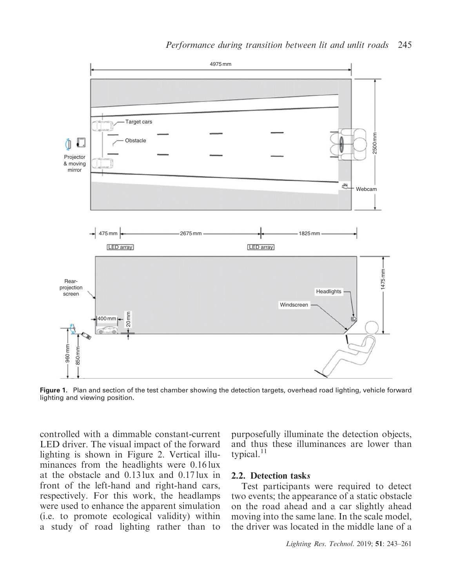

Figure 1. Plan and section of the test chamber showing the detection targets, overhead road lighting, vehicle forward lighting and viewing position.

controlled with a dimmable constant-current LED driver. The visual impact of the forward lighting is shown in Figure 2. Vertical illuminances from the headlights were 0.16 lux at the obstacle and 0.13 lux and 0.17 lux in front of the left-hand and right-hand cars, respectively. For this work, the headlamps were used to enhance the apparent simulation (i.e. to promote ecological validity) within a study of road lighting rather than to

purposefully illuminate the detection objects, and thus these illuminances are lower than typical. $11$ 

#### 2.2. Detection tasks

Test participants were required to detect two events; the appearance of a static obstacle on the road ahead and a car slightly ahead moving into the same lane. In the scale model, the driver was located in the middle lane of a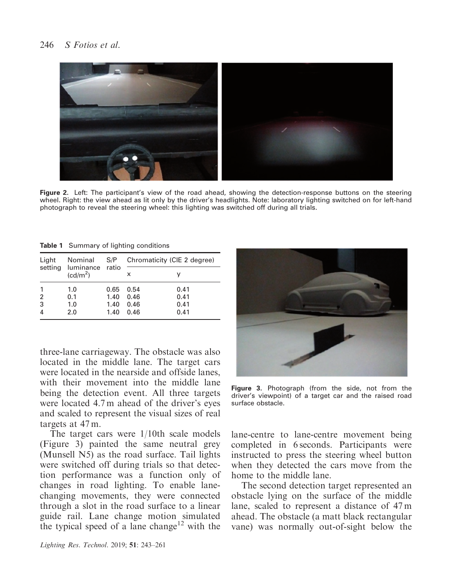

Figure 2. Left: The participant's view of the road ahead, showing the detection-response buttons on the steering wheel. Right: the view ahead as lit only by the driver's headlights. Note: laboratory lighting switched on for left-hand photograph to reveal the steering wheel: this lighting was switched off during all trials.

Table 1 Summary of lighting conditions

| Light               | Nominal<br>setting luminance ratio<br>(cd/m <sup>2</sup> ) | S/P                  | Chromaticity (CIE 2 degree) |                      |  |  |  |
|---------------------|------------------------------------------------------------|----------------------|-----------------------------|----------------------|--|--|--|
|                     |                                                            |                      | x                           |                      |  |  |  |
| $\overline{2}$<br>3 | 1.0<br>0.1<br>1.0                                          | 0.65<br>1.40<br>1.40 | 0.54<br>0.46<br>0.46        | 0.41<br>0.41<br>0.41 |  |  |  |
| $\overline{4}$      | 2.0                                                        | 1.40                 | 0.46                        | 0.41                 |  |  |  |

three-lane carriageway. The obstacle was also located in the middle lane. The target cars were located in the nearside and offside lanes, with their movement into the middle lane being the detection event. All three targets were located 4.7 m ahead of the driver's eyes and scaled to represent the visual sizes of real targets at 47 m.

The target cars were 1/10th scale models (Figure 3) painted the same neutral grey (Munsell N5) as the road surface. Tail lights were switched off during trials so that detection performance was a function only of changes in road lighting. To enable lanechanging movements, they were connected through a slot in the road surface to a linear guide rail. Lane change motion simulated the typical speed of a lane change<sup>12</sup> with the



Figure 3. Photograph (from the side, not from the driver's viewpoint) of a target car and the raised road surface obstacle.

lane-centre to lane-centre movement being completed in 6 seconds. Participants were instructed to press the steering wheel button when they detected the cars move from the home to the middle lane.

The second detection target represented an obstacle lying on the surface of the middle lane, scaled to represent a distance of 47 m ahead. The obstacle (a matt black rectangular vane) was normally out-of-sight below the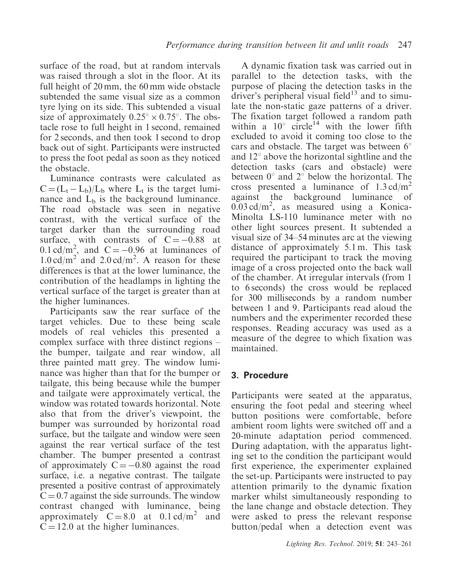surface of the road, but at random intervals was raised through a slot in the floor. At its full height of 20 mm, the 60 mm wide obstacle subtended the same visual size as a common tyre lying on its side. This subtended a visual size of approximately  $0.25^{\circ} \times 0.75^{\circ}$ . The obstacle rose to full height in 1 second, remained for 2 seconds, and then took 1 second to drop back out of sight. Participants were instructed to press the foot pedal as soon as they noticed the obstacle.

Luminance contrasts were calculated as  $C = (L_t - L_b)/L_b$  where  $L_t$  is the target luminance and  $L<sub>b</sub>$  is the background luminance. The road obstacle was seen in negative contrast, with the vertical surface of the target darker than the surrounding road surface, with contrasts of  $C = -0.88$  at 0.1 cd/m<sup>2</sup>, and C = -0.96 at luminances of  $1.0 \text{ cd/m}^2$  and  $2.0 \text{ cd/m}^2$ . A reason for these differences is that at the lower luminance, the contribution of the headlamps in lighting the vertical surface of the target is greater than at the higher luminances.

Participants saw the rear surface of the target vehicles. Due to these being scale models of real vehicles this presented a complex surface with three distinct regions – the bumper, tailgate and rear window, all three painted matt grey. The window luminance was higher than that for the bumper or tailgate, this being because while the bumper and tailgate were approximately vertical, the window was rotated towards horizontal. Note also that from the driver's viewpoint, the bumper was surrounded by horizontal road surface, but the tailgate and window were seen against the rear vertical surface of the test chamber. The bumper presented a contrast of approximately  $C = -0.80$  against the road surface, i.e. a negative contrast. The tailgate presented a positive contrast of approximately  $C = 0.7$  against the side surrounds. The window contrast changed with luminance, being approximately  $C = 8.0$  at  $0.1 \text{ cd/m}^2$  and  $C = 12.0$  at the higher luminances.

A dynamic fixation task was carried out in parallel to the detection tasks, with the purpose of placing the detection tasks in the driver's peripheral visual field $13$  and to simulate the non-static gaze patterns of a driver. The fixation target followed a random path within a  $10^{\circ}$  circle<sup>14</sup> with the lower fifth excluded to avoid it coming too close to the cars and obstacle. The target was between  $6^{\circ}$ and  $12^{\circ}$  above the horizontal sightline and the detection tasks (cars and obstacle) were between  $0^{\circ}$  and  $2^{\circ}$  below the horizontal. The cross presented a luminance of  $1.3 \text{ cd/m}^2$ against the background luminance of  $0.03 \text{ cd/m}^2$ , as measured using a Konica-Minolta LS-110 luminance meter with no other light sources present. It subtended a visual size of 34–54 minutes arc at the viewing distance of approximately 5.1 m. This task required the participant to track the moving image of a cross projected onto the back wall of the chamber. At irregular intervals (from 1 to 6 seconds) the cross would be replaced for 300 milliseconds by a random number between 1 and 9. Participants read aloud the numbers and the experimenter recorded these responses. Reading accuracy was used as a measure of the degree to which fixation was maintained.

## 3. Procedure

Participants were seated at the apparatus, ensuring the foot pedal and steering wheel button positions were comfortable, before ambient room lights were switched off and a 20-minute adaptation period commenced. During adaptation, with the apparatus lighting set to the condition the participant would first experience, the experimenter explained the set-up. Participants were instructed to pay attention primarily to the dynamic fixation marker whilst simultaneously responding to the lane change and obstacle detection. They were asked to press the relevant response button/pedal when a detection event was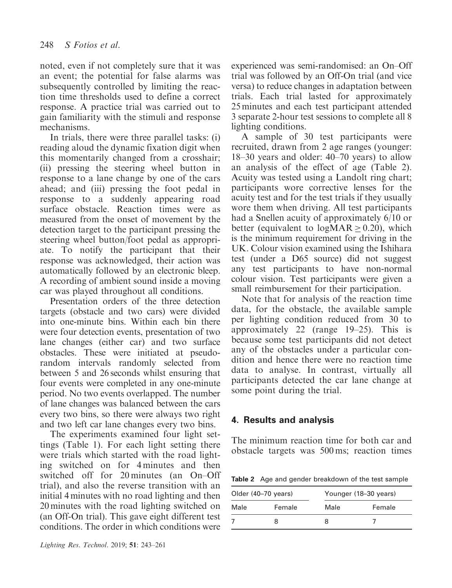noted, even if not completely sure that it was an event; the potential for false alarms was subsequently controlled by limiting the reaction time thresholds used to define a correct response. A practice trial was carried out to gain familiarity with the stimuli and response mechanisms.

In trials, there were three parallel tasks: (i) reading aloud the dynamic fixation digit when this momentarily changed from a crosshair; (ii) pressing the steering wheel button in response to a lane change by one of the cars ahead; and (iii) pressing the foot pedal in response to a suddenly appearing road surface obstacle. Reaction times were as measured from the onset of movement by the detection target to the participant pressing the steering wheel button/foot pedal as appropriate. To notify the participant that their response was acknowledged, their action was automatically followed by an electronic bleep. A recording of ambient sound inside a moving car was played throughout all conditions.

Presentation orders of the three detection targets (obstacle and two cars) were divided into one-minute bins. Within each bin there were four detection events, presentation of two lane changes (either car) and two surface obstacles. These were initiated at pseudorandom intervals randomly selected from between 5 and 26 seconds whilst ensuring that four events were completed in any one-minute period. No two events overlapped. The number of lane changes was balanced between the cars every two bins, so there were always two right and two left car lane changes every two bins.

The experiments examined four light settings (Table 1). For each light setting there were trials which started with the road lighting switched on for 4 minutes and then switched off for 20 minutes (an On–Off trial), and also the reverse transition with an initial 4 minutes with no road lighting and then 20 minutes with the road lighting switched on (an Off-On trial). This gave eight different test conditions. The order in which conditions were experienced was semi-randomised: an On–Off trial was followed by an Off-On trial (and vice versa) to reduce changes in adaptation between trials. Each trial lasted for approximately 25 minutes and each test participant attended 3 separate 2-hour test sessions to complete all 8 lighting conditions.

A sample of 30 test participants were recruited, drawn from 2 age ranges (younger: 18–30 years and older: 40–70 years) to allow an analysis of the effect of age (Table 2). Acuity was tested using a Landolt ring chart; participants wore corrective lenses for the acuity test and for the test trials if they usually wore them when driving. All test participants had a Snellen acuity of approximately 6/10 or better (equivalent to  $logMAR \geq 0.20$ ), which is the minimum requirement for driving in the UK. Colour vision examined using the Ishihara test (under a D65 source) did not suggest any test participants to have non-normal colour vision. Test participants were given a small reimbursement for their participation.

Note that for analysis of the reaction time data, for the obstacle, the available sample per lighting condition reduced from 30 to approximately 22 (range 19–25). This is because some test participants did not detect any of the obstacles under a particular condition and hence there were no reaction time data to analyse. In contrast, virtually all participants detected the car lane change at some point during the trial.

## 4. Results and analysis

The minimum reaction time for both car and obstacle targets was 500 ms; reaction times

Table 2 Age and gender breakdown of the test sample

| Older (40–70 years) |  | Younger (18–30 years) |        |  |  |  |  |
|---------------------|--|-----------------------|--------|--|--|--|--|
| Female<br>Male      |  | Male                  | Female |  |  |  |  |
|                     |  |                       |        |  |  |  |  |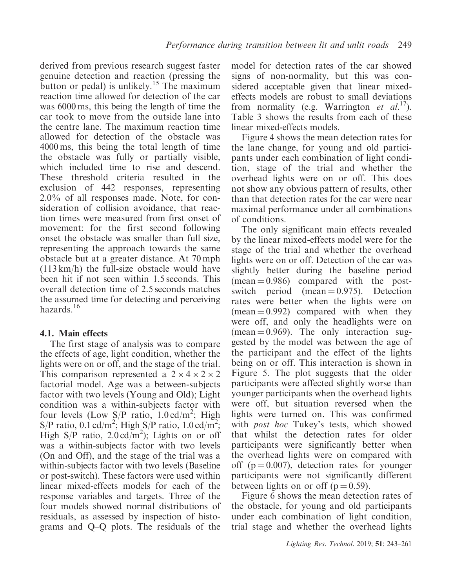derived from previous research suggest faster genuine detection and reaction (pressing the button or pedal) is unlikely.<sup>15</sup> The maximum reaction time allowed for detection of the car was 6000 ms, this being the length of time the car took to move from the outside lane into the centre lane. The maximum reaction time allowed for detection of the obstacle was 4000 ms, this being the total length of time the obstacle was fully or partially visible, which included time to rise and descend. These threshold criteria resulted in the exclusion of 442 responses, representing 2.0% of all responses made. Note, for consideration of collision avoidance, that reaction times were measured from first onset of movement: for the first second following onset the obstacle was smaller than full size, representing the approach towards the same obstacle but at a greater distance. At 70 mph (113 km/h) the full-size obstacle would have been hit if not seen within 1.5 seconds. This overall detection time of 2.5 seconds matches the assumed time for detecting and perceiving hazards.<sup>16</sup>

## 4.1. Main effects

The first stage of analysis was to compare the effects of age, light condition, whether the lights were on or off, and the stage of the trial. This comparison represented a  $2 \times 4 \times 2 \times 2$ factorial model. Age was a between-subjects factor with two levels (Young and Old); Light condition was a within-subjects factor with four levels (Low  $S/P$  ratio, 1.0 cd/m<sup>2</sup>; High S/P ratio,  $0.\overline{1} \text{ cd/m}^2$ ; High S/P ratio,  $1.0 \text{ cd/m}^2$ ; High S/P ratio,  $2.0 \text{ cd/m}^2$ ); Lights on or off was a within-subjects factor with two levels (On and Off), and the stage of the trial was a within-subjects factor with two levels (Baseline or post-switch). These factors were used within linear mixed-effects models for each of the response variables and targets. Three of the four models showed normal distributions of residuals, as assessed by inspection of histograms and Q–Q plots. The residuals of the model for detection rates of the car showed signs of non-normality, but this was considered acceptable given that linear mixedeffects models are robust to small deviations from normality (e.g. Warrington *et al.*<sup>17</sup>). Table 3 shows the results from each of these linear mixed-effects models.

Figure 4 shows the mean detection rates for the lane change, for young and old participants under each combination of light condition, stage of the trial and whether the overhead lights were on or off. This does not show any obvious pattern of results, other than that detection rates for the car were near maximal performance under all combinations of conditions.

The only significant main effects revealed by the linear mixed-effects model were for the stage of the trial and whether the overhead lights were on or off. Detection of the car was slightly better during the baseline period  $(mean = 0.986)$  compared with the postswitch period (mean  $= 0.975$ ). Detection rates were better when the lights were on  $(mean = 0.992)$  compared with when they were off, and only the headlights were on  $(mean = 0.969)$ . The only interaction suggested by the model was between the age of the participant and the effect of the lights being on or off. This interaction is shown in Figure 5. The plot suggests that the older participants were affected slightly worse than younger participants when the overhead lights were off, but situation reversed when the lights were turned on. This was confirmed with *post hoc* Tukey's tests, which showed that whilst the detection rates for older participants were significantly better when the overhead lights were on compared with off ( $p = 0.007$ ), detection rates for younger participants were not significantly different between lights on or off ( $p = 0.59$ ).

Figure 6 shows the mean detection rates of the obstacle, for young and old participants under each combination of light condition, trial stage and whether the overhead lights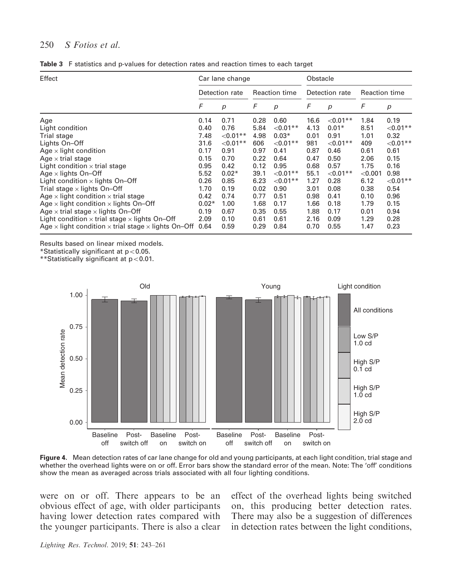#### 250 S Fotios et al.

|  |  |  |  |  |  | Table 3 F statistics and p-values for detection rates and reaction times to each target |  |  |  |  |  |  |  |  |
|--|--|--|--|--|--|-----------------------------------------------------------------------------------------|--|--|--|--|--|--|--|--|
|--|--|--|--|--|--|-----------------------------------------------------------------------------------------|--|--|--|--|--|--|--|--|

| Effect                                                                   |                | Car lane change  |                      |                  | Obstacle       |             |                      |             |  |
|--------------------------------------------------------------------------|----------------|------------------|----------------------|------------------|----------------|-------------|----------------------|-------------|--|
|                                                                          | Detection rate |                  | <b>Reaction time</b> |                  | Detection rate |             | <b>Reaction time</b> |             |  |
|                                                                          | F              | $\boldsymbol{p}$ | F                    | $\boldsymbol{p}$ | F              | р           | F                    | p           |  |
| Age                                                                      | 0.14           | 0.71             | 0.28                 | 0.60             | 16.6           | ${<}0.01**$ | 1.84                 | 0.19        |  |
| Light condition                                                          | 0.40           | 0.76             | 5.84                 | $< 0.01**$       | 4.13           | $0.01*$     | 8.51                 | ${<}0.01**$ |  |
| Trial stage                                                              | 7.48           | ${<}0.01**$      | 4.98                 | $0.03*$          | 0.01           | 0.91        | 1.01                 | 0.32        |  |
| Lights On-Off                                                            | 31.6           | ${<}0.01**$      | 606                  | $< 0.01**$       | 981            | ${<}0.01**$ | 409                  | ${<}0.01**$ |  |
| Age $\times$ light condition                                             | 0.17           | 0.91             | 0.97                 | 0.41             | 0.87           | 0.46        | 0.61                 | 0.61        |  |
| Age $\times$ trial stage                                                 | 0.15           | 0.70             | 0.22                 | 0.64             | 0.47           | 0.50        | 2.06                 | 0.15        |  |
| Light condition $\times$ trial stage                                     | 0.95           | 0.42             | 0.12                 | 0.95             | 0.68           | 0.57        | 1.75                 | 0.16        |  |
| Age $\times$ lights On-Off                                               | 5.52           | $0.02*$          | 39.1                 | $< 0.01$ **      | 55.1           | ${<}0.01**$ | < 0.001              | 0.98        |  |
| Light condition $\times$ lights On-Off                                   | 0.26           | 0.85             | 6.23                 | $< 0.01**$       | 1.27           | 0.28        | 6.12                 | ${<}0.01**$ |  |
| Trial stage $\times$ lights On-Off                                       | 1.70           | 0.19             | 0.02                 | 0.90             | 3.01           | 0.08        | 0.38                 | 0.54        |  |
| Age $\times$ light condition $\times$ trial stage                        | 0.42           | 0.74             | 0.77                 | 0.51             | 0.98           | 0.41        | 0.10                 | 0.96        |  |
| Age $\times$ light condition $\times$ lights On-Off                      | $0.02*$        | 1.00             | 1.68                 | 0.17             | 1.66           | 0.18        | 1.79                 | 0.15        |  |
| Age $\times$ trial stage $\times$ lights On-Off                          | 0.19           | 0.67             | 0.35                 | 0.55             | 1.88           | 0.17        | 0.01                 | 0.94        |  |
| Light condition $\times$ trial stage $\times$ lights On-Off              | 2.09           | 0.10             | 0.61                 | 0.61             | 2.16           | 0.09        | 1.29                 | 0.28        |  |
| Age $\times$ light condition $\times$ trial stage $\times$ lights On–Off | 0.64           | 0.59             | 0.29                 | 0.84             | 0.70           | 0.55        | 1.47                 | 0.23        |  |

Results based on linear mixed models.

 $*$ Statistically significant at  $p<0.05$ .

\*\*Statistically significant at p50.01.



Figure 4. Mean detection rates of car lane change for old and young participants, at each light condition, trial stage and whether the overhead lights were on or off. Error bars show the standard error of the mean. Note: The 'off' conditions show the mean as averaged across trials associated with all four lighting conditions.

were on or off. There appears to be an obvious effect of age, with older participants having lower detection rates compared with the younger participants. There is also a clear effect of the overhead lights being switched on, this producing better detection rates. There may also be a suggestion of differences in detection rates between the light conditions,

Lighting Res. Technol. 2019; 51: 243–261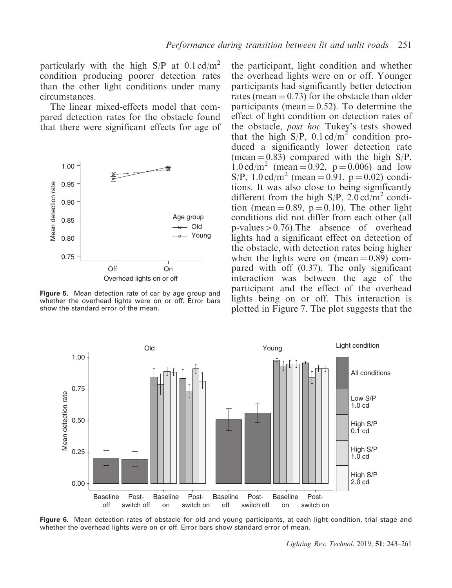particularly with the high  $S/P$  at 0.1 cd/m<sup>2</sup> condition producing poorer detection rates than the other light conditions under many circumstances.

The linear mixed-effects model that compared detection rates for the obstacle found that there were significant effects for age of



**Figure 5.** Mean detection rate of car by age group and whether the overhead lights were on or off. Error bars show the standard error of the mean.

the participant, light condition and whether the overhead lights were on or off. Younger participants had significantly better detection rates (mean  $= 0.73$ ) for the obstacle than older participants (mean  $= 0.52$ ). To determine the effect of light condition on detection rates of the obstacle, post hoc Tukey's tests showed that the high  $S/P$ , 0.1 cd/m<sup>2</sup> condition produced a significantly lower detection rate (mean  $= 0.83$ ) compared with the high S/P,  $1.0 \text{ cd/m}^2$  (mean = 0.92, p = 0.006) and low S/P,  $1.0 \text{ cd/m}^2$  (mean = 0.91, p = 0.02) conditions. It was also close to being significantly different from the high  $S/P$ , 2.0 cd/m<sup>2</sup> condition (mean  $= 0.89$ ,  $p = 0.10$ ). The other light conditions did not differ from each other (all  $p-values>0.76$ ).The absence of overhead lights had a significant effect on detection of the obstacle, with detection rates being higher when the lights were on (mean  $= 0.89$ ) compared with off (0.37). The only significant interaction was between the age of the participant and the effect of the overhead lights being on or off. This interaction is plotted in Figure 7. The plot suggests that the



Figure 6. Mean detection rates of obstacle for old and young participants, at each light condition, trial stage and whether the overhead lights were on or off. Error bars show standard error of mean.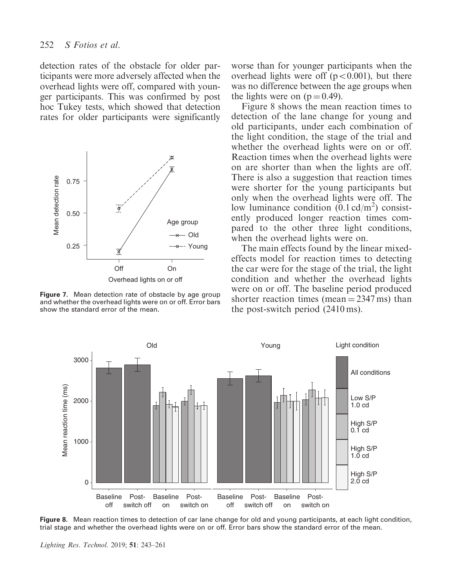detection rates of the obstacle for older participants were more adversely affected when the overhead lights were off, compared with younger participants. This was confirmed by post hoc Tukey tests, which showed that detection rates for older participants were significantly



Figure 7. Mean detection rate of obstacle by age group and whether the overhead lights were on or off. Error bars show the standard error of the mean.

worse than for younger participants when the overhead lights were off  $(p<0.001)$ , but there was no difference between the age groups when the lights were on  $(p = 0.49)$ .

Figure 8 shows the mean reaction times to detection of the lane change for young and old participants, under each combination of the light condition, the stage of the trial and whether the overhead lights were on or off. Reaction times when the overhead lights were on are shorter than when the lights are off. There is also a suggestion that reaction times were shorter for the young participants but only when the overhead lights were off. The low luminance condition  $(0.1 \text{ cd/m}^2)$  consistently produced longer reaction times compared to the other three light conditions, when the overhead lights were on.

The main effects found by the linear mixedeffects model for reaction times to detecting the car were for the stage of the trial, the light condition and whether the overhead lights were on or off. The baseline period produced shorter reaction times (mean  $=$  2347 ms) than the post-switch period (2410 ms).



Figure 8. Mean reaction times to detection of car lane change for old and young participants, at each light condition, trial stage and whether the overhead lights were on or off. Error bars show the standard error of the mean.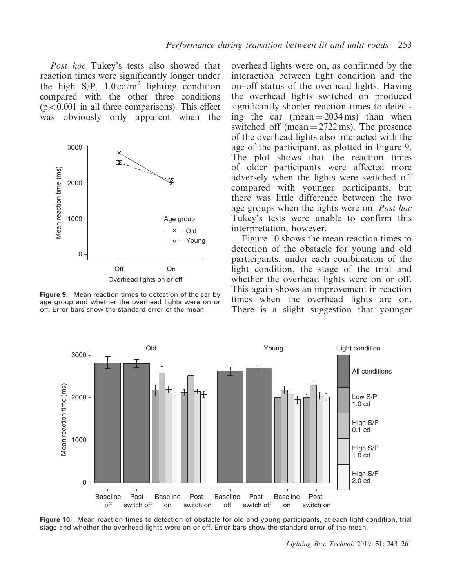Post hoc Tukey's tests also showed that reaction times were significantly longer under the high  $S/P$ ,  $1.0 \text{ cd/m}^2$  lighting condition compared with the other three conditions  $(p<0.001$  in all three comparisons). This effect was obviously only apparent when the



Figure 9. Mean reaction times to detection of the car by age group and whether the overhead lights were on or off. Error bars show the standard error of the mean.

overhead lights were on, as confirmed by the interaction between light condition and the on–off status of the overhead lights. Having the overhead lights switched on produced significantly shorter reaction times to detecting the car (mean  $= 2034 \text{ ms}$ ) than when switched off (mean  $= 2722$  ms). The presence of the overhead lights also interacted with the age of the participant, as plotted in Figure 9. The plot shows that the reaction times of older participants were affected more adversely when the lights were switched off compared with younger participants, but there was little difference between the two age groups when the lights were on. Post hoc Tukey's tests were unable to confirm this interpretation, however.

Figure 10 shows the mean reaction times to detection of the obstacle for young and old participants, under each combination of the light condition, the stage of the trial and whether the overhead lights were on or off. This again shows an improvement in reaction times when the overhead lights are on. There is a slight suggestion that younger



Figure 10. Mean reaction times to detection of obstacle for old and young participants, at each light condition, trial stage and whether the overhead lights were on or off. Error bars show the standard error of the mean.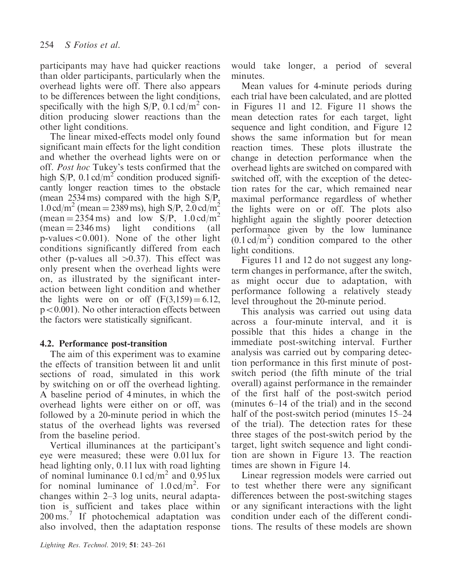participants may have had quicker reactions than older participants, particularly when the overhead lights were off. There also appears to be differences between the light conditions, specifically with the high  $S/P$ , 0.1 cd/m<sup>2</sup> condition producing slower reactions than the other light conditions.

The linear mixed-effects model only found significant main effects for the light condition and whether the overhead lights were on or off. Post hoc Tukey's tests confirmed that the high  $S/P$ , 0.1 cd/m<sup>2</sup> condition produced significantly longer reaction times to the obstacle (mean 2534 ms) compared with the high S/P,  $1.0 \text{ cd/m}^2$  (mean = 2389 ms), high S/P, 2.0 cd/m<sup>2</sup>  $(\text{mean} = 2354 \text{ ms})$  and low S/P,  $1.0 \text{ cd/m}^2$  $(mean = 2346 \text{ ms})$  light conditions (all  $p-values<0.001$ ). None of the other light conditions significantly differed from each other (p-values all  $>0.37$ ). This effect was only present when the overhead lights were on, as illustrated by the significant interaction between light condition and whether the lights were on or off  $(F(3,159) = 6.12,$  $p<0.001$ ). No other interaction effects between the factors were statistically significant.

## 4.2. Performance post-transition

The aim of this experiment was to examine the effects of transition between lit and unlit sections of road, simulated in this work by switching on or off the overhead lighting. A baseline period of 4 minutes, in which the overhead lights were either on or off, was followed by a 20-minute period in which the status of the overhead lights was reversed from the baseline period.

Vertical illuminances at the participant's eye were measured; these were 0.01 lux for head lighting only, 0.11 lux with road lighting of nominal luminance  $0.1 \text{ cd/m}^2$  and  $0.95 \text{ lux}$ for nominal luminance of  $1.0 \text{ cd/m}^2$ . For changes within 2–3 log units, neural adaptation is sufficient and takes place within 200 ms.<sup>7</sup> If photochemical adaptation was also involved, then the adaptation response

Lighting Res. Technol. 2019; 51: 243–261

would take longer, a period of several minutes.

Mean values for 4-minute periods during each trial have been calculated, and are plotted in Figures 11 and 12. Figure 11 shows the mean detection rates for each target, light sequence and light condition, and Figure 12 shows the same information but for mean reaction times. These plots illustrate the change in detection performance when the overhead lights are switched on compared with switched off, with the exception of the detection rates for the car, which remained near maximal performance regardless of whether the lights were on or off. The plots also highlight again the slightly poorer detection performance given by the low luminance  $(0.1 \text{ cd/m}^2)$  condition compared to the other light conditions.

Figures 11 and 12 do not suggest any longterm changes in performance, after the switch, as might occur due to adaptation, with performance following a relatively steady level throughout the 20-minute period.

This analysis was carried out using data across a four-minute interval, and it is possible that this hides a change in the immediate post-switching interval. Further analysis was carried out by comparing detection performance in this first minute of postswitch period (the fifth minute of the trial overall) against performance in the remainder of the first half of the post-switch period (minutes 6–14 of the trial) and in the second half of the post-switch period (minutes 15–24 of the trial). The detection rates for these three stages of the post-switch period by the target, light switch sequence and light condition are shown in Figure 13. The reaction times are shown in Figure 14.

Linear regression models were carried out to test whether there were any significant differences between the post-switching stages or any significant interactions with the light condition under each of the different conditions. The results of these models are shown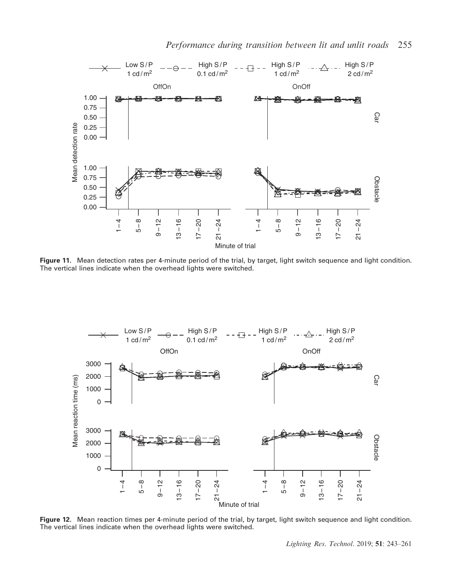

Performance during transition between lit and unlit roads 255

Figure 11. Mean detection rates per 4-minute period of the trial, by target, light switch sequence and light condition. The vertical lines indicate when the overhead lights were switched.



Figure 12. Mean reaction times per 4-minute period of the trial, by target, light switch sequence and light condition. The vertical lines indicate when the overhead lights were switched.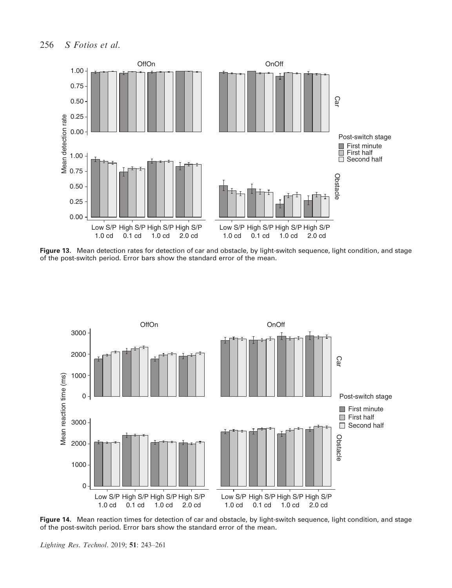

Figure 13. Mean detection rates for detection of car and obstacle, by light-switch sequence, light condition, and stage of the post-switch period. Error bars show the standard error of the mean.



Figure 14. Mean reaction times for detection of car and obstacle, by light-switch sequence, light condition, and stage of the post-switch period. Error bars show the standard error of the mean.

Lighting Res. Technol. 2019; 51: 243–261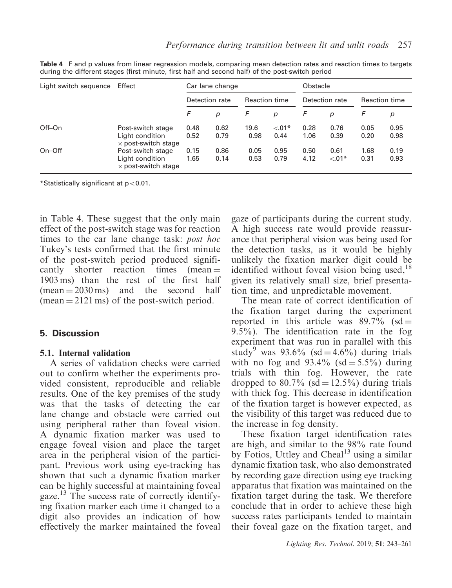| Light switch sequence | Effect                                                             |                | Car lane change  |               |                  | Obstacle       |                   |                      |              |
|-----------------------|--------------------------------------------------------------------|----------------|------------------|---------------|------------------|----------------|-------------------|----------------------|--------------|
|                       |                                                                    | Detection rate |                  | Reaction time |                  | Detection rate |                   | <b>Reaction time</b> |              |
|                       |                                                                    | F              | $\boldsymbol{p}$ | F             | $\boldsymbol{p}$ | F              | p                 | F                    | р            |
| Off-On                | Post-switch stage<br>Light condition<br>$\times$ post-switch stage | 0.48<br>0.52   | 0.62<br>0.79     | 19.6<br>0.98  | $< 01*$<br>0.44  | 0.28<br>1.06   | 0.76<br>0.39      | 0.05<br>0.20         | 0.95<br>0.98 |
| $On$ – $Off$          | Post-switch stage<br>Light condition<br>$\times$ post-switch stage | 0.15<br>1.65   | 0.86<br>0.14     | 0.05<br>0.53  | 0.95<br>0.79     | 0.50<br>4.12   | 0.61<br>$< 0.01*$ | 1.68<br>0.31         | 0.19<br>0.93 |

Table 4 F and p values from linear regression models, comparing mean detection rates and reaction times to targets during the different stages (first minute, first half and second half) of the post-switch period

 $*$ Statistically significant at  $p<0.01$ .

in Table 4. These suggest that the only main effect of the post-switch stage was for reaction times to the car lane change task: *post hoc* Tukey's tests confirmed that the first minute of the post-switch period produced significantly shorter reaction times (mean  $=$ 1903 ms) than the rest of the first half  $(mean = 2030 \text{ ms})$  and the second half  $(mean = 2121 \text{ ms})$  of the post-switch period.

## 5. Discussion

## 5.1. Internal validation

A series of validation checks were carried out to confirm whether the experiments provided consistent, reproducible and reliable results. One of the key premises of the study was that the tasks of detecting the car lane change and obstacle were carried out using peripheral rather than foveal vision. A dynamic fixation marker was used to engage foveal vision and place the target area in the peripheral vision of the participant. Previous work using eye-tracking has shown that such a dynamic fixation marker can be highly successful at maintaining foveal gaze.<sup>13</sup> The success rate of correctly identifying fixation marker each time it changed to a digit also provides an indication of how effectively the marker maintained the foveal gaze of participants during the current study. A high success rate would provide reassurance that peripheral vision was being used for the detection tasks, as it would be highly unlikely the fixation marker digit could be identified without foveal vision being used,  $18$ given its relatively small size, brief presentation time, and unpredictable movement.

The mean rate of correct identification of the fixation target during the experiment reported in this article was  $89.7\%$  (sd = 9.5%). The identification rate in the fog experiment that was run in parallel with this study<sup>9</sup> was 93.6% (sd = 4.6%) during trials with no fog and  $93.4\%$  (sd = 5.5%) during trials with thin fog. However, the rate dropped to 80.7% (sd =  $12.5\%$ ) during trials with thick fog. This decrease in identification of the fixation target is however expected, as the visibility of this target was reduced due to the increase in fog density.

These fixation target identification rates are high, and similar to the 98% rate found by Fotios, Uttley and Cheal $13$  using a similar dynamic fixation task, who also demonstrated by recording gaze direction using eye tracking apparatus that fixation was maintained on the fixation target during the task. We therefore conclude that in order to achieve these high success rates participants tended to maintain their foveal gaze on the fixation target, and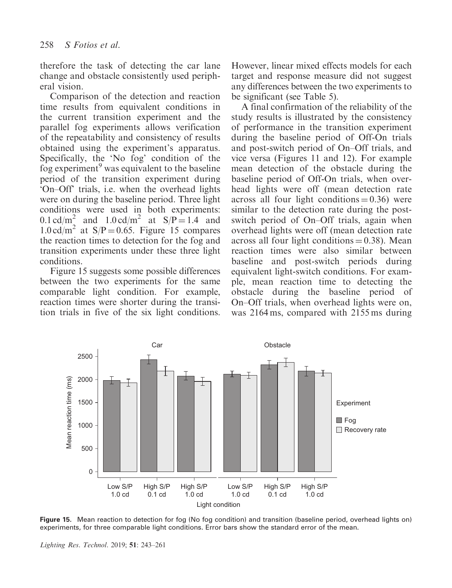therefore the task of detecting the car lane change and obstacle consistently used peripheral vision.

Comparison of the detection and reaction time results from equivalent conditions in the current transition experiment and the parallel fog experiments allows verification of the repeatability and consistency of results obtained using the experiment's apparatus. Specifically, the 'No fog' condition of the fog experiment<sup>9</sup> was equivalent to the baseline period of the transition experiment during 'On–Off' trials, i.e. when the overhead lights were on during the baseline period. Three light conditions were used in both experiments: 0.1 cd/m<sup>2</sup> and 1.0 cd/m<sup>2</sup> at  $S/P = 1.4$  and  $1.0 \text{ cd/m}^2$  at S/P = 0.65. Figure 15 compares the reaction times to detection for the fog and transition experiments under these three light conditions.

Figure 15 suggests some possible differences between the two experiments for the same comparable light condition. For example, reaction times were shorter during the transition trials in five of the six light conditions.

However, linear mixed effects models for each target and response measure did not suggest any differences between the two experiments to be significant (see Table 5).

A final confirmation of the reliability of the study results is illustrated by the consistency of performance in the transition experiment during the baseline period of Off-On trials and post-switch period of On–Off trials, and vice versa (Figures 11 and 12). For example mean detection of the obstacle during the baseline period of Off-On trials, when overhead lights were off (mean detection rate across all four light conditions  $= 0.36$ ) were similar to the detection rate during the postswitch period of On–Off trials, again when overhead lights were off (mean detection rate across all four light conditions  $= 0.38$ ). Mean reaction times were also similar between baseline and post-switch periods during equivalent light-switch conditions. For example, mean reaction time to detecting the obstacle during the baseline period of On–Off trials, when overhead lights were on, was 2164 ms, compared with 2155 ms during



Figure 15. Mean reaction to detection for fog (No fog condition) and transition (baseline period, overhead lights on) experiments, for three comparable light conditions. Error bars show the standard error of the mean.

Lighting Res. Technol. 2019; 51: 243–261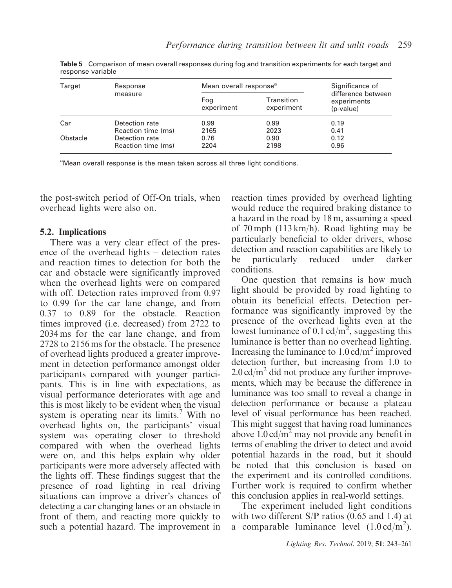| Target   | Response           | Mean overall response <sup>a</sup> | Significance of          |                                                |  |
|----------|--------------------|------------------------------------|--------------------------|------------------------------------------------|--|
|          | measure            | Fog<br>experiment                  | Transition<br>experiment | difference between<br>experiments<br>(p-value) |  |
| Car      | Detection rate     | 0.99                               | 0.99                     | 0.19                                           |  |
|          | Reaction time (ms) | 2165                               | 2023                     | 0.41                                           |  |
| Obstacle | Detection rate     | 0.76                               | 0.90                     | 0.12                                           |  |
|          | Reaction time (ms) | 2204                               | 2198                     | 0.96                                           |  |

Table 5 Comparison of mean overall responses during fog and transition experiments for each target and response variable

<sup>a</sup>Mean overall response is the mean taken across all three light conditions.

the post-switch period of Off-On trials, when overhead lights were also on.

## 5.2. Implications

There was a very clear effect of the presence of the overhead lights – detection rates and reaction times to detection for both the car and obstacle were significantly improved when the overhead lights were on compared with off. Detection rates improved from 0.97 to 0.99 for the car lane change, and from 0.37 to 0.89 for the obstacle. Reaction times improved (i.e. decreased) from 2722 to 2034 ms for the car lane change, and from 2728 to 2156 ms for the obstacle. The presence of overhead lights produced a greater improvement in detection performance amongst older participants compared with younger participants. This is in line with expectations, as visual performance deteriorates with age and this is most likely to be evident when the visual system is operating near its limits.<sup>7</sup> With no overhead lights on, the participants' visual system was operating closer to threshold compared with when the overhead lights were on, and this helps explain why older participants were more adversely affected with the lights off. These findings suggest that the presence of road lighting in real driving situations can improve a driver's chances of detecting a car changing lanes or an obstacle in front of them, and reacting more quickly to such a potential hazard. The improvement in reaction times provided by overhead lighting would reduce the required braking distance to a hazard in the road by 18 m, assuming a speed of 70 mph (113 km/h). Road lighting may be particularly beneficial to older drivers, whose detection and reaction capabilities are likely to be particularly reduced under darker conditions.

One question that remains is how much light should be provided by road lighting to obtain its beneficial effects. Detection performance was significantly improved by the presence of the overhead lights even at the lowest luminance of 0.1 cd/m<sup>2</sup>, suggesting this luminance is better than no overhead lighting. Increasing the luminance to  $1.0 \text{ cd/m}^2$  improved detection further, but increasing from 1.0 to  $2.0 \text{ cd/m}^2$  did not produce any further improvements, which may be because the difference in luminance was too small to reveal a change in detection performance or because a plateau level of visual performance has been reached. This might suggest that having road luminances above  $1.0 \text{ cd/m}^2$  may not provide any benefit in terms of enabling the driver to detect and avoid potential hazards in the road, but it should be noted that this conclusion is based on the experiment and its controlled conditions. Further work is required to confirm whether this conclusion applies in real-world settings.

The experiment included light conditions with two different S/P ratios (0.65 and 1.4) at a comparable luminance level  $(1.0 \text{ cd/m}^2)$ .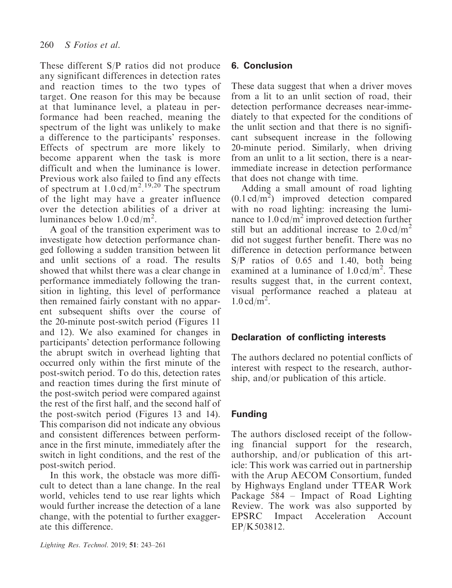These different S/P ratios did not produce any significant differences in detection rates and reaction times to the two types of target. One reason for this may be because at that luminance level, a plateau in performance had been reached, meaning the spectrum of the light was unlikely to make a difference to the participants' responses. Effects of spectrum are more likely to become apparent when the task is more difficult and when the luminance is lower. Previous work also failed to find any effects of spectrum at  $1.0 \text{ cd/m}^2$ .<sup>19,20</sup> The spectrum of the light may have a greater influence over the detection abilities of a driver at luminances below  $1.0 \text{ cd/m}^2$ .

A goal of the transition experiment was to investigate how detection performance changed following a sudden transition between lit and unlit sections of a road. The results showed that whilst there was a clear change in performance immediately following the transition in lighting, this level of performance then remained fairly constant with no apparent subsequent shifts over the course of the 20-minute post-switch period (Figures 11 and 12). We also examined for changes in participants' detection performance following the abrupt switch in overhead lighting that occurred only within the first minute of the post-switch period. To do this, detection rates and reaction times during the first minute of the post-switch period were compared against the rest of the first half, and the second half of the post-switch period (Figures 13 and 14). This comparison did not indicate any obvious and consistent differences between performance in the first minute, immediately after the switch in light conditions, and the rest of the post-switch period.

In this work, the obstacle was more difficult to detect than a lane change. In the real world, vehicles tend to use rear lights which would further increase the detection of a lane change, with the potential to further exaggerate this difference.

# 6. Conclusion

These data suggest that when a driver moves from a lit to an unlit section of road, their detection performance decreases near-immediately to that expected for the conditions of the unlit section and that there is no significant subsequent increase in the following 20-minute period. Similarly, when driving from an unlit to a lit section, there is a nearimmediate increase in detection performance that does not change with time.

Adding a small amount of road lighting  $(0.1 \text{ cd/m}^2)$  improved detection compared with no road lighting: increasing the luminance to  $1.0 \text{ cd/m}^2$  improved detection further still but an additional increase to  $2.0 \text{ cd/m}^2$ did not suggest further benefit. There was no difference in detection performance between S/P ratios of 0.65 and 1.40, both being examined at a luminance of  $1.0 \text{ cd/m}^2$ . These results suggest that, in the current context, visual performance reached a plateau at  $1.0 \text{ cd/m}^2$ .

## Declaration of conflicting interests

The authors declared no potential conflicts of interest with respect to the research, authorship, and/or publication of this article.

# Funding

The authors disclosed receipt of the following financial support for the research, authorship, and/or publication of this article: This work was carried out in partnership with the Arup AECOM Consortium, funded by Highways England under TTEAR Work Package 584 – Impact of Road Lighting Review. The work was also supported by EPSRC Impact Acceleration Account EP/K503812.